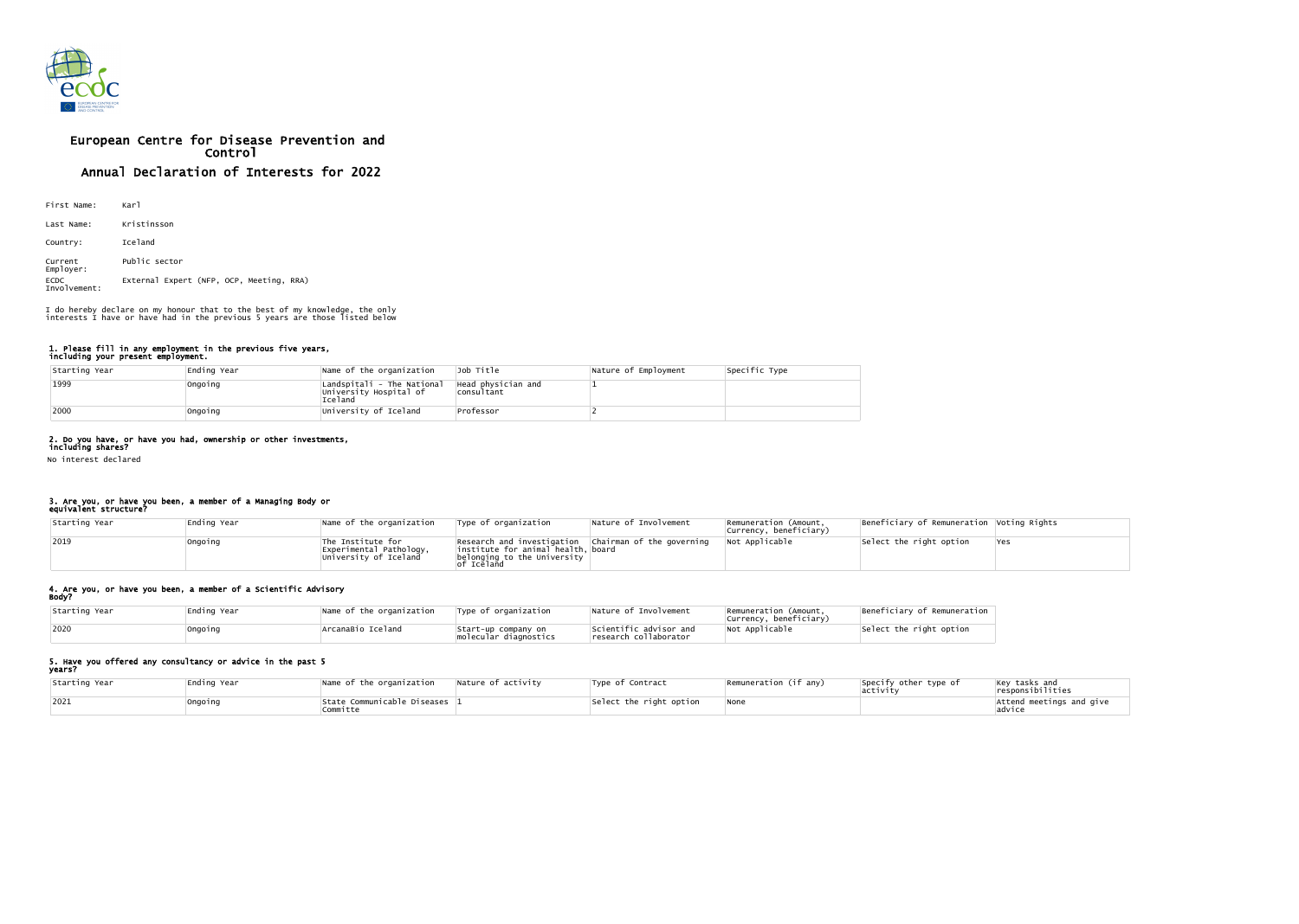

# European Centre for Disease Prevention and Control Annual Declaration of Interests for 2022

| First Name:                 | Karl                                     |
|-----------------------------|------------------------------------------|
| Last Name:                  | Kristinsson                              |
| Country:                    | Iceland                                  |
| Current<br>Employer:        | Public sector                            |
| <b>ECDC</b><br>Involvement: | External Expert (NFP, OCP, Meeting, RRA) |

### 1. Please fill in any employment in the previous five years, including your present employment.

| Starting Year | Ending Year | Name of the organization                                        | Job Title                        | Nature of Employment | Specific Type |
|---------------|-------------|-----------------------------------------------------------------|----------------------------------|----------------------|---------------|
| 1999          | Ongoing     | Landspitali - The National<br>University Hospital of<br>Iceland | Head physician and<br>consultant |                      |               |
| 2000          | Ongoing     | University of Iceland                                           | Professor                        |                      |               |

## 2. Do you have, or have you had, ownership or other investments,

including shares? No interest declared

#### 3. Are you, or have you been, a member of a Managing Body or equivalent structure?

| Starting Year | Ending Year | Name of the organization                                              | Type of organization                                                                                                                                | Nature of Involvement | Remuneration (Amount,<br>currency, beneficiary) | Beneficiary of Remuneration Voting Rights |       |
|---------------|-------------|-----------------------------------------------------------------------|-----------------------------------------------------------------------------------------------------------------------------------------------------|-----------------------|-------------------------------------------------|-------------------------------------------|-------|
| 2019          | Ongoing     | The Institute for<br>Experimental Pathology,<br>University of Iceland | Research and investigation   Chairman of the governing<br>institute for animal health, board<br>belonging to the University<br><sup>:</sup> Iceland |                       | Not Applicable                                  | Select the right option                   | lYes. |

## 4. Are you, or have you been, a member of a Scientific Advisory

| Body?         |             |                          |                                              |                                                 |                                                 |                             |  |  |
|---------------|-------------|--------------------------|----------------------------------------------|-------------------------------------------------|-------------------------------------------------|-----------------------------|--|--|
| Starting Year | Ending Year | Name of the organization | Type of organization                         | Nature of Involvement                           | Remuneration (Amount,<br>Currency, beneficiary) | Beneficiary of Remuneration |  |  |
| 2020          | Ongoing     | ArcanaBio Iceland        | Start-up company on<br>molecular diagnostics | Scientific advisor and<br>research collaborator | Not Applicable                                  | Select the right option     |  |  |

#### 5. Have you offered any consultancy or advice in the past 5 years?

| Starting Year | Ending Year | Name of the organization<br>Nature of activity | Type of Contract        | Remuneration (if any) | Specify other type of<br>activity | $\vert$ Key tasks and<br>responsibilities |
|---------------|-------------|------------------------------------------------|-------------------------|-----------------------|-----------------------------------|-------------------------------------------|
| 2021          | Ongoing     | State Communicable Diseases 1<br>Committe      | Select the right option | <b>None</b>           |                                   | Attend meetings and give<br>advice        |

I do hereby declare on my honour that to the best of my knowledge, the only interests I have or have had in the previous 5 years are those listed below